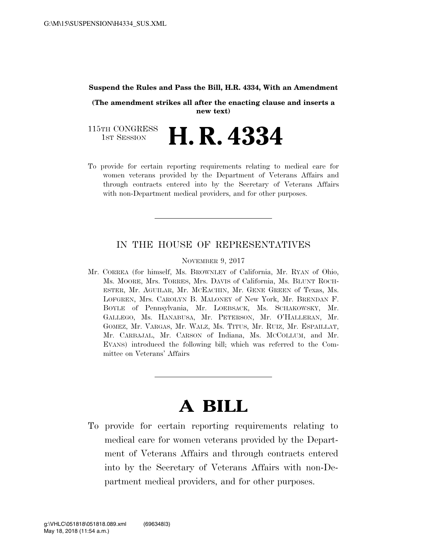#### **Suspend the Rules and Pass the Bill, H.R. 4334, With an Amendment**

**(The amendment strikes all after the enacting clause and inserts a new text)** 

115TH CONGRESS<br>1st Session **H. R. 4334** 

To provide for certain reporting requirements relating to medical care for women veterans provided by the Department of Veterans Affairs and through contracts entered into by the Secretary of Veterans Affairs with non-Department medical providers, and for other purposes.

## IN THE HOUSE OF REPRESENTATIVES

### NOVEMBER 9, 2017

Mr. CORREA (for himself, Ms. BROWNLEY of California, Mr. RYAN of Ohio, Ms. MOORE, Mrs. TORRES, Mrs. DAVIS of California, Ms. BLUNT ROCH-ESTER, Mr. AGUILAR, Mr. MCEACHIN, Mr. GENE GREEN of Texas, Ms. LOFGREN, Mrs. CAROLYN B. MALONEY of New York, Mr. BRENDAN F. BOYLE of Pennsylvania, Mr. LOEBSACK, Ms. SCHAKOWSKY, Mr. GALLEGO, Ms. HANABUSA, Mr. PETERSON, Mr. O'HALLERAN, Mr. GOMEZ, Mr. VARGAS, Mr. WALZ, Ms. TITUS, Mr. RUIZ, Mr. ESPAILLAT, Mr. CARBAJAL, Mr. CARSON of Indiana, Ms. MCCOLLUM, and Mr. EVANS) introduced the following bill; which was referred to the Committee on Veterans' Affairs

# **A BILL**

To provide for certain reporting requirements relating to medical care for women veterans provided by the Department of Veterans Affairs and through contracts entered into by the Secretary of Veterans Affairs with non-Department medical providers, and for other purposes.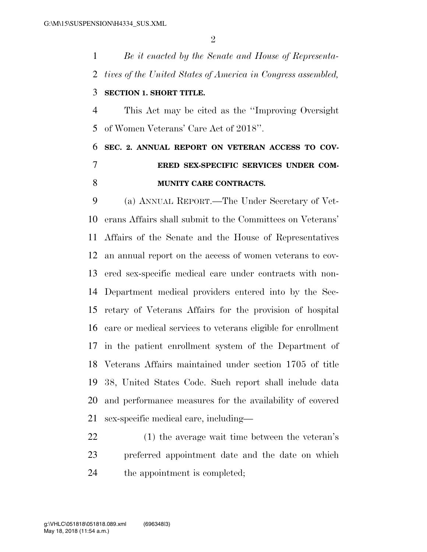*Be it enacted by the Senate and House of Representa- tives of the United States of America in Congress assembled,*  **SECTION 1. SHORT TITLE.**  This Act may be cited as the ''Improving Oversight of Women Veterans' Care Act of 2018''. **SEC. 2. ANNUAL REPORT ON VETERAN ACCESS TO COV-ERED SEX-SPECIFIC SERVICES UNDER COM-**

### **MUNITY CARE CONTRACTS.**

 (a) ANNUAL REPORT.—The Under Secretary of Vet- erans Affairs shall submit to the Committees on Veterans' Affairs of the Senate and the House of Representatives an annual report on the access of women veterans to cov- ered sex-specific medical care under contracts with non- Department medical providers entered into by the Sec- retary of Veterans Affairs for the provision of hospital care or medical services to veterans eligible for enrollment in the patient enrollment system of the Department of Veterans Affairs maintained under section 1705 of title 38, United States Code. Such report shall include data and performance measures for the availability of covered sex-specific medical care, including—

 (1) the average wait time between the veteran's preferred appointment date and the date on which the appointment is completed;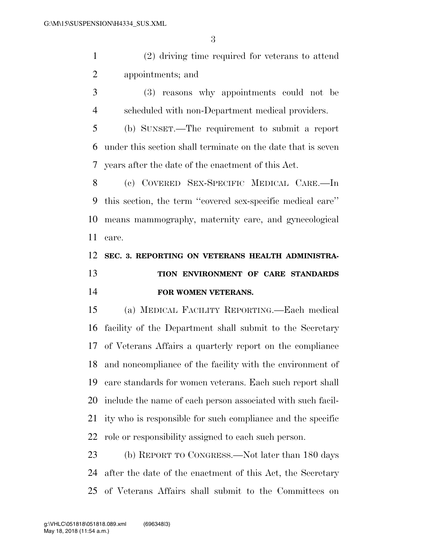(2) driving time required for veterans to attend appointments; and

 (3) reasons why appointments could not be scheduled with non-Department medical providers.

 (b) SUNSET.—The requirement to submit a report under this section shall terminate on the date that is seven years after the date of the enactment of this Act.

 (c) COVERED SEX-SPECIFIC MEDICAL CARE.—In this section, the term ''covered sex-specific medical care'' means mammography, maternity care, and gynecological care.

# **SEC. 3. REPORTING ON VETERANS HEALTH ADMINISTRA- TION ENVIRONMENT OF CARE STANDARDS FOR WOMEN VETERANS.**

 (a) MEDICAL FACILITY REPORTING.—Each medical facility of the Department shall submit to the Secretary of Veterans Affairs a quarterly report on the compliance and noncompliance of the facility with the environment of care standards for women veterans. Each such report shall include the name of each person associated with such facil- ity who is responsible for such compliance and the specific role or responsibility assigned to each such person.

 (b) REPORT TO CONGRESS.—Not later than 180 days after the date of the enactment of this Act, the Secretary of Veterans Affairs shall submit to the Committees on